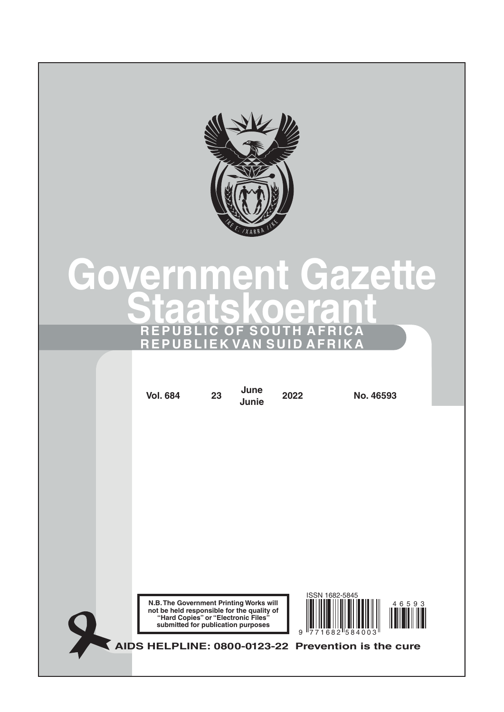

# **Government Gazette Staatskoerant REPUBLIC OF SOUTH AFRICA REPUBLIEK VAN SUID AFRIKA**

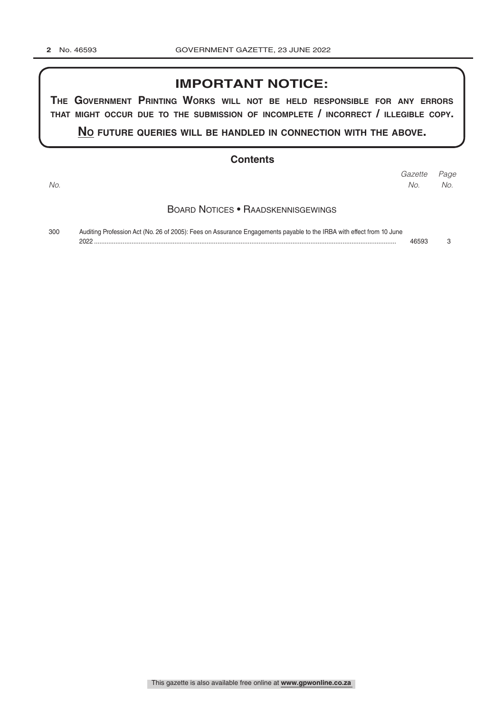## **IMPORTANT NOTICE:**

**The GovernmenT PrinTinG Works Will noT be held resPonsible for any errors ThaT miGhT occur due To The submission of incomPleTe / incorrecT / illeGible coPy.**

**no fuTure queries Will be handled in connecTion WiTh The above.**

#### **Contents**

*Page Gazette No. No. No.*

#### Board Notices • Raadskennisgewings

300 Auditing Profession Act (No. 26 of 2005): Fees on Assurance Engagements payable to the IRBA with effect from 10 June 2022 ......................................................................................................................................................................... 46593 3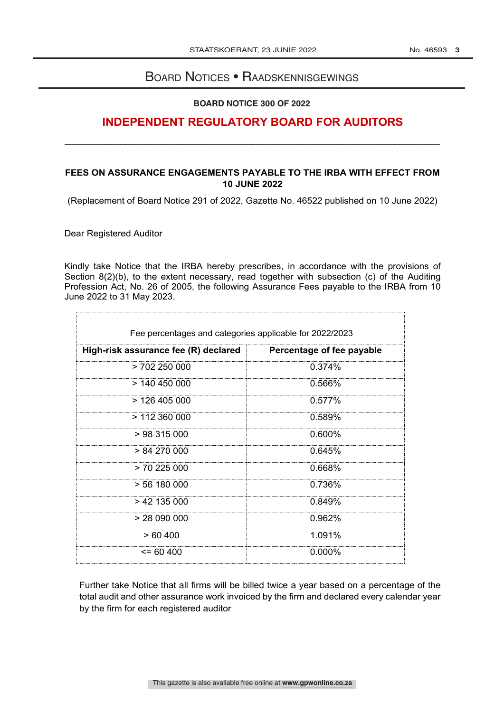## Board Notices • Raadskennisgewings

#### **BOARD NOTICE 300 OF 2022**

# **INDEPENDENT REGULATORY BOARD FOR AUDITORS**

\_\_\_\_\_\_\_\_\_\_\_\_\_\_\_\_\_\_\_\_\_\_\_\_\_\_\_\_\_\_\_\_\_\_\_\_\_\_\_\_\_\_\_\_\_\_\_\_\_\_\_\_\_\_\_\_\_\_\_\_\_\_\_\_\_\_\_\_\_\_\_\_\_\_

### **FEES ON ASSURANCE ENGAGEMENTS PAYABLE TO THE IRBA WITH EFFECT FROM 10 JUNE 2022**

(Replacement of Board Notice 291 of 2022, Gazette No. 46522 published on 10 June 2022)

Dear Registered Auditor

Kindly take Notice that the IRBA hereby prescribes, in accordance with the provisions of Section 8(2)(b), to the extent necessary, read together with subsection (c) of the Auditing Profession Act, No. 26 of 2005, the following Assurance Fees payable to the IRBA from 10 June 2022 to 31 May 2023.

| Fee percentages and categories applicable for 2022/2023 |                           |
|---------------------------------------------------------|---------------------------|
| High-risk assurance fee (R) declared                    | Percentage of fee payable |
| > 702250000                                             | 0.374%                    |
| $>$ 140 450 000                                         | 0.566%                    |
| >126405000                                              | 0.577%                    |
| $> 112$ 360 000                                         | 0.589%                    |
| >98315000                                               | $0.600\%$                 |
| $> 84\,270\,000$                                        | 0.645%                    |
| $> 70$ 225 000                                          | 0.668%                    |
| $> 56$ 180 000                                          | 0.736%                    |
| $> 42$ 135 000                                          | 0.849%                    |
| > 28090000                                              | 0.962%                    |
| >60,400                                                 | 1.091%                    |
| $\leq$ 60 400                                           | $0.000\%$                 |

Further take Notice that all firms will be billed twice a year based on a percentage of the total audit and other assurance work invoiced by the firm and declared every calendar year by the firm for each registered auditor